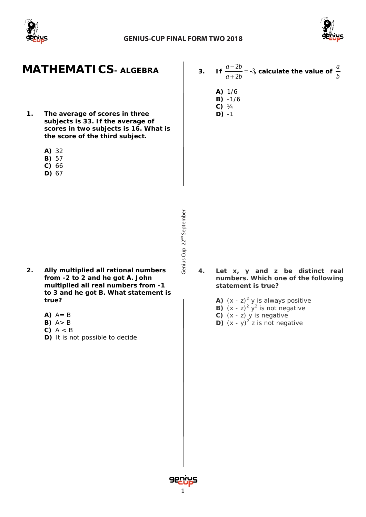



## **MATHEMATICS***- ALGEBRA*

- **1. The average of scores in three subjects is 33. If the average of scores in two subjects is 16. What is the score of the third subject.**
	- **A)** 32
	- **B)** 57
	- **C)** 66
	- **D)** 67

- **2. Ally multiplied all rational numbers from -2 to 2 and he got A. John multiplied all real numbers from -1 to 3 and he got B. What statement is true?**
	- $A)$   $A = B$
	- **B)** A> B
	- **C)** A < B
	- **D)** It is not possible to decide
- **3. If**  $\frac{1}{2} = -3$  $\frac{-2b}{+2b} =$  $a+2b$  $a-2b$ **, calculate the value of** *<sup>b</sup> a*
	- **A)** 1/6
	- **B)** -1/6
	- **C)** ¼ **D)** -1

- Genius Cup 22<sup>nd</sup> September Cup 22<sup>nd</sup> September
- **4. Let x, y and z be distinct real numbers. Which one of the following statement is true?**
	- **A)**  $(x z)^2$  y is always positive
	- **B)**  $(x z)^2$   $y^2$  is not negative
	- **C)** (x z) y is negative
	- **D)**  $(x y)^2$  z is not negative

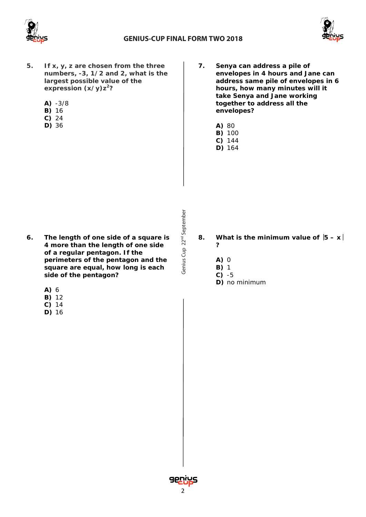



- **5. If x, y, z are chosen from the three numbers, -3, 1/2 and 2, what is the largest possible value of the expression (x/y)z2?**
	- **A)** -3/8
	- **B)** 16
	- **C)** 24
	- **D)** 36
- **7. Senya can address a pile of envelopes in 4 hours and Jane can address same pile of envelopes in 6 hours, how many minutes will it take Senya and Jane working together to address all the envelopes?**
	- **A)** 80
	- **B)** 100
	- **C)** 144 **D)** 164

- **6. The length of one side of a square is 4 more than the length of one side of a regular pentagon. If the perimeters of the pentagon and the square are equal, how long is each side of the pentagon?**
	- **A)** 6
	- **B)** 12
	- **C)** 14
	- **D)** 16

- 8. **What is the minimum value of**  $|5 x|$ **?**
	- **A)** 0
	- **B)** 1
	- **C)** -5
	- **D)** no minimum

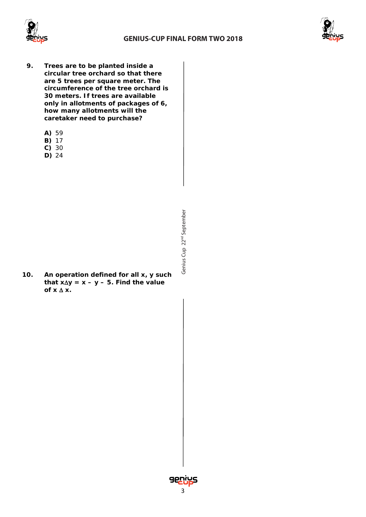



- **9. Trees are to be planted inside a circular tree orchard so that there are 5 trees per square meter. The circumference of the tree orchard is 30 meters. If trees are available only in allotments of packages of 6, how many allotments will the caretaker need to purchase?**
	- **A)** 59
	- **B)** 17
	- **C)** 30
	- **D)** 24

**10. An operation defined for all x, y such that x**∆**y = x – y – 5. Find the value of x** ∆ **x.**



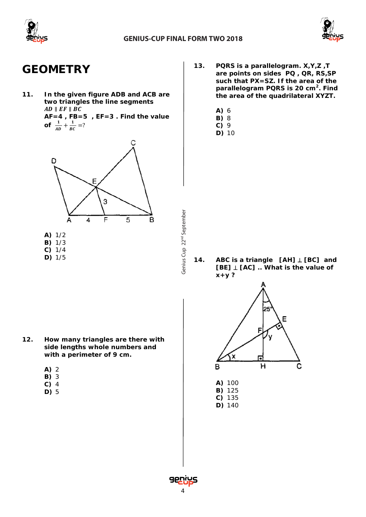

Cup 22<sup>nd</sup> September

Genius Cup 22<sup>nd</sup> September



## **GEOMETRY**

**11. In the given figure ADB and ACB are two triangles the line segments**  $AD \parallel EF \parallel BC$ 

**AF=4 , FB=5 , EF=3 . Find the value of**  $\frac{1}{AD} + \frac{1}{BC} = ?$ 



- **13. PQRS is a parallelogram. X,Y,Z ,T are points on sides PQ , QR, RS,SP such that PX=SZ. If the area of the parallelogram PQRS is 20 cm2. Find the area of the quadrilateral XYZT.**
	- **A)** 6
	- **B)** 8
	- **C)** 9
	- **D)** 10

**14. ABC is a triangle [AH]** ⊥ **[BC] and [BE]** ⊥ **[AC] .. What is the value of x+y ?**

- **12. How many triangles are there with side lengths whole numbers and with a perimeter of 9 cm.**
	- **A)** 2
	- **B)** 3
	- **C)** 4
	- **D)** 5



- **B)** 125 **C)** 135
- **D)** 140

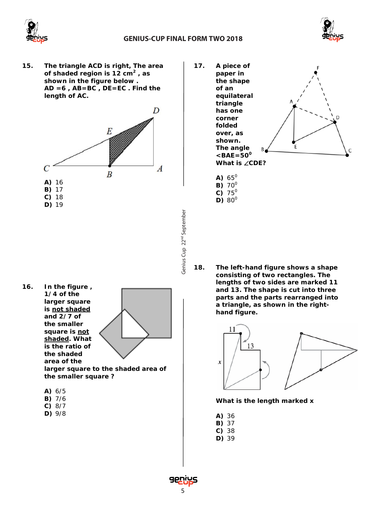



**15. The triangle ACD is right, The area of shaded region is 12 cm<sup>2</sup> , as shown in the figure below . AD =6 , AB=BC , DE=EC . Find the length of AC.**



- Genius Cup 22<sup>nd</sup> September Cup 22<sup>nd</sup> September
- **16. In the figure , 1/4 of the larger square is not shaded and 2/7 of the smaller square is not shaded. What is the ratio of the shaded area of the larger square to the shaded area of the smaller square ?**
	- **A)** 6/5
	- **B)** 7/6
	- **C)** 8/7
	- **D)** 9/8
- **17. A piece of paper in the shape of an equilateral triangle has one** D **corner folded over, as shown.** E **The angle** C  $<$ **BAE**=50<sup>0</sup>
	- A)  $65^{\circ}$ **B)** 70<sup>0</sup>  $C$ <sup> $75^\circ$ </sup> **D)**  $80^{\circ}$

**What is** ∠**CDE?**

**18. The left-hand figure shows a shape consisting of two rectangles. The lengths of two sides are marked 11 and 13. The shape is cut into three parts and the parts rearranged into a triangle, as shown in the righthand figure.**



**What is the length marked x**

- **A)** 36
- **B)** 37
- **C)** 38
- **D)** 39

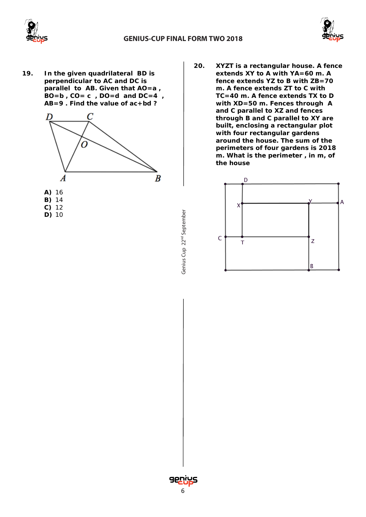



**19. In the given quadrilateral BD is perpendicular to AC and DC is parallel to AB. Given that** *AO=a , BO=b , CO= c , DO=d and DC=4 , AB=9* **. Find the value of** *ac+bd* **?**



- **A)** 16 **B)** 14
- **C)** 12
- **D)** 10

**20. XYZT is a rectangular house. A fence extends XY to A with YA=60 m. A fence extends YZ to B with ZB=70 m. A fence extends ZT to C with TC=40 m. A fence extends TX to D with XD=50 m. Fences through A and C parallel to XZ and fences through B and C parallel to XY are built, enclosing a rectangular plot with four rectangular gardens around the house. The sum of the perimeters of four gardens is 2018 m. What is the perimeter , in m, of the house**



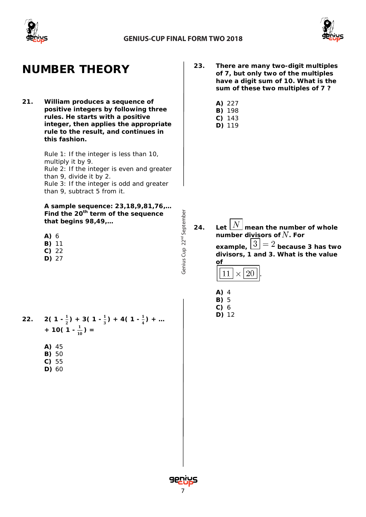

Cup 22<sup>nd</sup> September

Genius Cup 22<sup>nd</sup> September



# **NUMBER THEORY**

**21. William produces a sequence of positive integers by following three rules. He starts with a positive integer, then applies the appropriate rule to the result, and continues in this fashion.**

> Rule 1: If the integer is less than 10, multiply it by 9. Rule 2: If the integer is even and greater than 9, divide it by 2. Rule 3: If the integer is odd and greater than 9, subtract 5 from it.

**A sample sequence: 23,18,9,81,76,… Find the 20th term of the sequence that begins 98,49,…** 

**A)** 6 **B)** 11

- **C)** 22
- **D)** 27

- 22.  $2\left(1-\frac{1}{2}\right)+3\left(1-\frac{1}{3}\right)+4\left(1-\frac{1}{4}\right)+...$ *+* 10( 1 -  $\frac{1}{10}$ ) =
	- **A)** 45
	- **B)** 50
	- **C)** 55
	- **D)** 60
- **23. There are many two-digit multiples of 7, but only two of the multiples have a digit sum of 10. What is the sum of these two multiples of 7 ?**
	- **A)** 227
	- **B)** 198
	- **C)** 143 **D)** 119

- 24. Let  $\lfloor N \rfloor$  mean the number of whole **number divisors of**  $N$ **. For example,**  $\boxed{3} = 2$  because 3 has two **divisors, 1 and 3. What is the value of** 11  $\times$  20
	- **A)** 4 **B)** 5
	- **C)** 6
	- **D)** 12

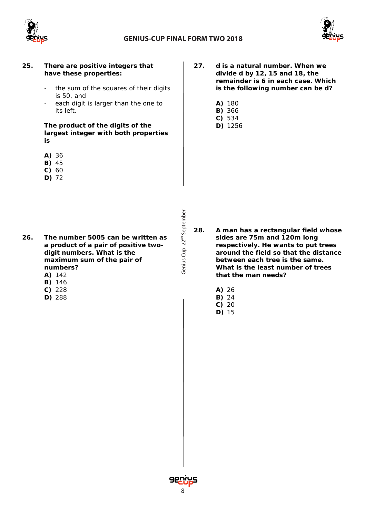



### **25. There are positive integers that have these properties:**

- the sum of the squares of their digits is 50, and
- each digit is larger than the one to its left.

**The product of the digits of the largest integer with both properties is**

- **A)** 36
- **B)** 45
- **C)** 60
- **D)** 72

- **26. The number 5005 can be written as a product of a pair of positive twodigit numbers. What is the maximum sum of the pair of numbers?**
	- **A)** 142
	- **B)** 146
	- **C)** 228
	- **D)** 288

**27. d is a natural number. When we divide d by 12, 15 and 18, the remainder is 6 in each case. Which is the following number can be d?**

- **A)** 180
- **B)** 366
- **C)** 534 **D)** 1256

Genius Cup 22<sup>nd</sup> September Cup 22<sup>nd</sup> September

**28. A man has a rectangular field whose sides are 75m and 120m long respectively. He wants to put trees around the field so that the distance between each tree is the same. What is the least number of trees that the man needs?**

- **A)** 26
- **B)** 24
- **C)** 20
- **D)** 15

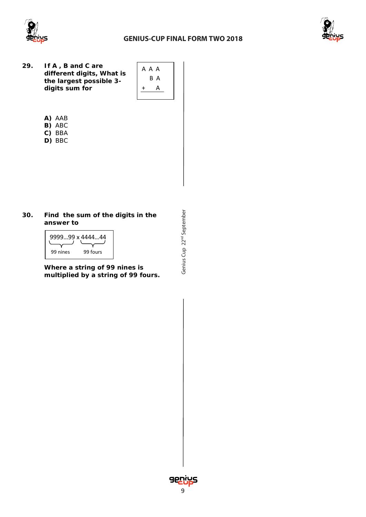

### **GENIUS-CUP FINAL FORM TWO 2018**



**29. If A , B and C are different digits, What is the largest possible 3 digits sum for**



- **A)** AAB
- **B)** ABC
- **C)** BBA **D)** BBC
- 

### **30. Find the sum of the digits in the answer to**

|          | 999999 x 444444 |  |  |
|----------|-----------------|--|--|
| 99 nines | 99 fours        |  |  |

**Where a string of 99 nines is multiplied by a string of 99 fours.**



Cup 22<sup>nd</sup> September

Genius Cup 22<sup>nd</sup> September

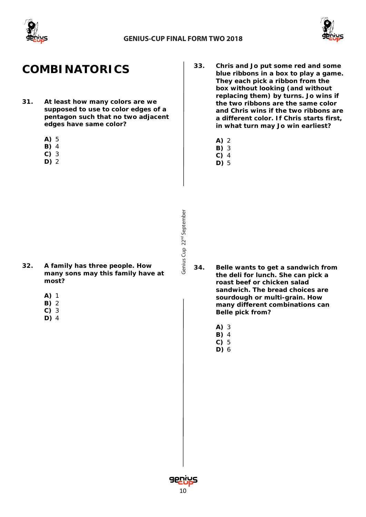



# **COMBINATORICS**

- **31. At least how many colors are we supposed to use to color edges of a pentagon such that no two adjacent edges have same color?**
	- **A)** 5
	- **B)** 4
	- **C)** 3
	- **D)** 2
- **33. Chris and Jo put some red and some blue ribbons in a box to play a game. They each pick a ribbon from the box without looking (and without replacing them) by turns. Jo wins if the two ribbons are the same color and Chris wins if the two ribbons are a different color. If Chris starts first, in what turn may Jo win earliest?**
	- **A)** 2
	- **B)** 3
	- **C)** 4
	- **D)** 5

- **32. A family has three people. How many sons may this family have at most?**
	- **A)** 1
	- **B)** 2
	- **C)** 3
	- **D)** 4

- **34. Belle wants to get a sandwich from the deli for lunch. She can pick a roast beef or chicken salad sandwich. The bread choices are sourdough or multi-grain. How many different combinations can Belle pick from?**
	- **A)** 3
	- **B)** 4 **C)** 5
	- **D)** 6

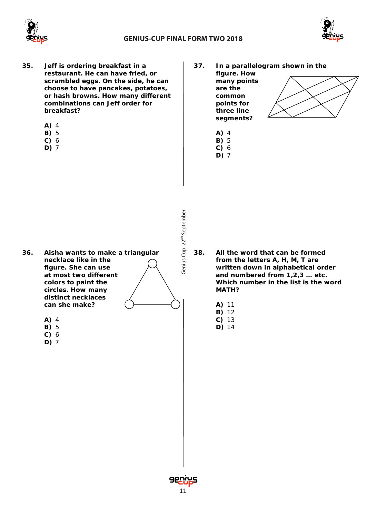



- **35. Jeff is ordering breakfast in a restaurant. He can have fried, or scrambled eggs. On the side, he can choose to have pancakes, potatoes, or hash browns. How many different combinations can Jeff order for breakfast?**
	- **A)** 4
	- **B)** 5
	- **C)** 6
	- **D)** 7
- **37. In a parallelogram shown in the figure. How many points are the common points for three line segments?**
	- **A)** 4
	- **B)** 5
	- **C)** 6
	- **D)** 7

- **36. Aisha wants to make a triangular necklace like in the figure. She can use at most two different colors to paint the circles. How many distinct necklaces can she make?**
	- **A)** 4
	- **B)** 5
	- **C)** 6
	- **D)** 7

- **38. All the word that can be formed from the letters A, H, M, T are written down in alphabetical order and numbered from 1,2,3 … etc. Which number in the list is the word MATH?**
	- **A)** 11
	- **B)** 12
	- **C)** 13
	- **D)** 14

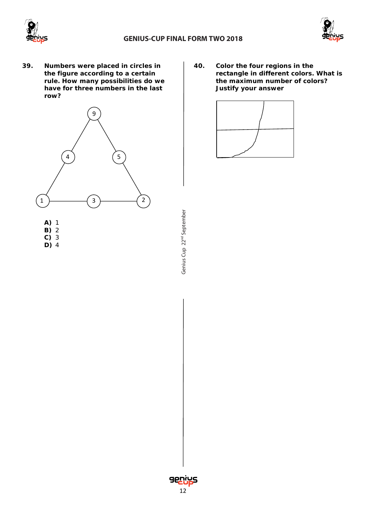



**39. Numbers were placed in circles in the figure according to a certain rule. How many possibilities do we have for three numbers in the last row?**



Genius Cup 22<sup>nd</sup> September Cup 22<sup>nd</sup> September

**40. Color the four regions in the rectangle in different colors. What is the maximum number of colors? Justify your answer**



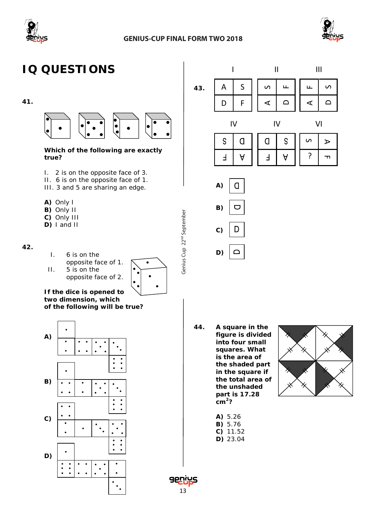



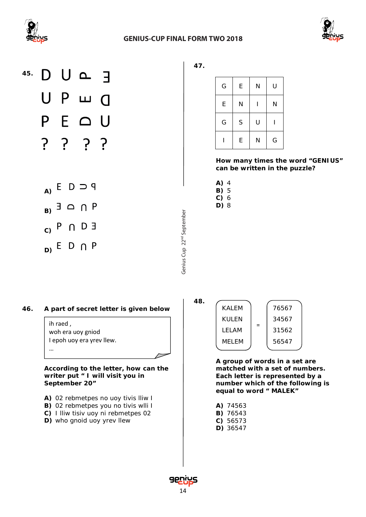





**47.**

| G | E | N | U |  |
|---|---|---|---|--|
| E | N |   | N |  |
| G | S | U |   |  |
|   | E | N | G |  |

**How many times the word "GENIUS" can be written in the puzzle?** 

- **A)** 4
- **B)** 5 **C)** 6

**D)** 8

Genius Cup 22<sup>nd</sup> September

**48.**

Cup 22<sup>nd</sup> September

#### **46. A part of secret letter is given below**

ih raed , woh era uoy gniod I epoh uoy era yrev llew. …

**According to the letter, how can the writer put " I will visit you in September 20"**

- **A)** 02 rebmetpes no uoy tivis lliw I
- **B)** 02 rebmetpes you no tivis wlli I
- **C)** I lliw tisiv uoy ni rebmetpes 02
- **D)** who gnoid uoy yrev llew

KALEM KULEN LELAM MELEM 76567 34567 31562 56547 =

**A group of words in a set are matched with a set of numbers. Each letter is represented by a number which of the following is equal to word " MALEK"**

- **A)** 74563
- **B)** 76543
- **C)** 56573
- **D)** 36547